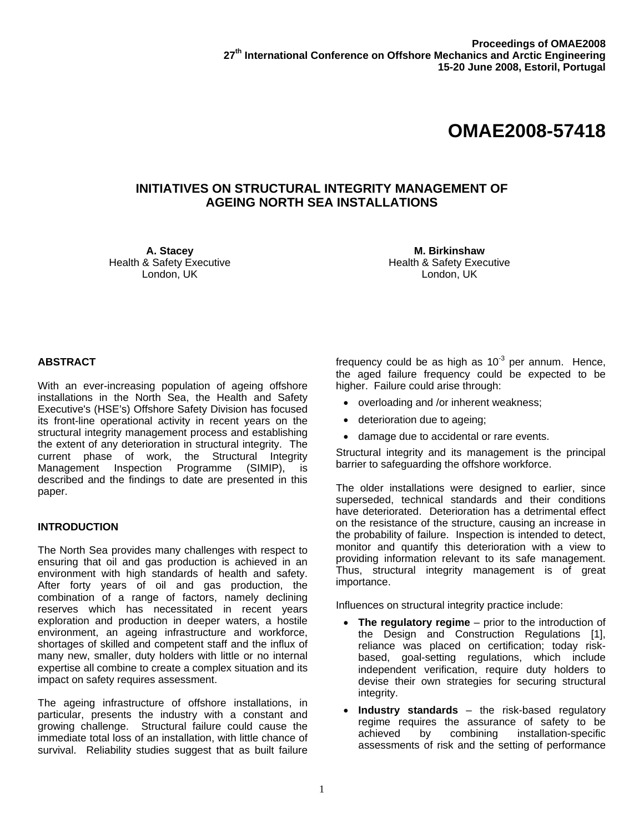# **OMAE2008-57418**

## **INITIATIVES ON STRUCTURAL INTEGRITY MANAGEMENT OF AGEING NORTH SEA INSTALLATIONS**

**A. Stacey**  Health & Safety Executive London, UK

**M. Birkinshaw**  Health & Safety Executive London, UK

### **ABSTRACT**

With an ever-increasing population of ageing offshore installations in the North Sea, the Health and Safety Executive's (HSE's) Offshore Safety Division has focused its front-line operational activity in recent years on the structural integrity management process and establishing the extent of any deterioration in structural integrity. The current phase of work, the Structural Integrity Management Inspection Programme (SIMIP), is described and the findings to date are presented in this paper.

### **INTRODUCTION**

The North Sea provides many challenges with respect to ensuring that oil and gas production is achieved in an environment with high standards of health and safety. After forty years of oil and gas production, the combination of a range of factors, namely declining reserves which has necessitated in recent years exploration and production in deeper waters, a hostile environment, an ageing infrastructure and workforce, shortages of skilled and competent staff and the influx of many new, smaller, duty holders with little or no internal expertise all combine to create a complex situation and its impact on safety requires assessment.

The ageing infrastructure of offshore installations, in particular, presents the industry with a constant and growing challenge. Structural failure could cause the immediate total loss of an installation, with little chance of survival. Reliability studies suggest that as built failure frequency could be as high as  $10^{-3}$  per annum. Hence, the aged failure frequency could be expected to be higher. Failure could arise through:

- overloading and /or inherent weakness;
- deterioration due to ageing;
- damage due to accidental or rare events.

Structural integrity and its management is the principal barrier to safeguarding the offshore workforce.

The older installations were designed to earlier, since superseded, technical standards and their conditions have deteriorated. Deterioration has a detrimental effect on the resistance of the structure, causing an increase in the probability of failure. Inspection is intended to detect, monitor and quantify this deterioration with a view to providing information relevant to its safe management. Thus, structural integrity management is of great importance.

Influences on structural integrity practice include:

- **The regulatory regime** prior to the introduction of the Design and Construction Regulations [1], reliance was placed on certification; today riskbased, goal-setting regulations, which include independent verification, require duty holders to devise their own strategies for securing structural integrity.
- **Industry standards** the risk-based regulatory regime requires the assurance of safety to be achieved by combining installation-specific assessments of risk and the setting of performance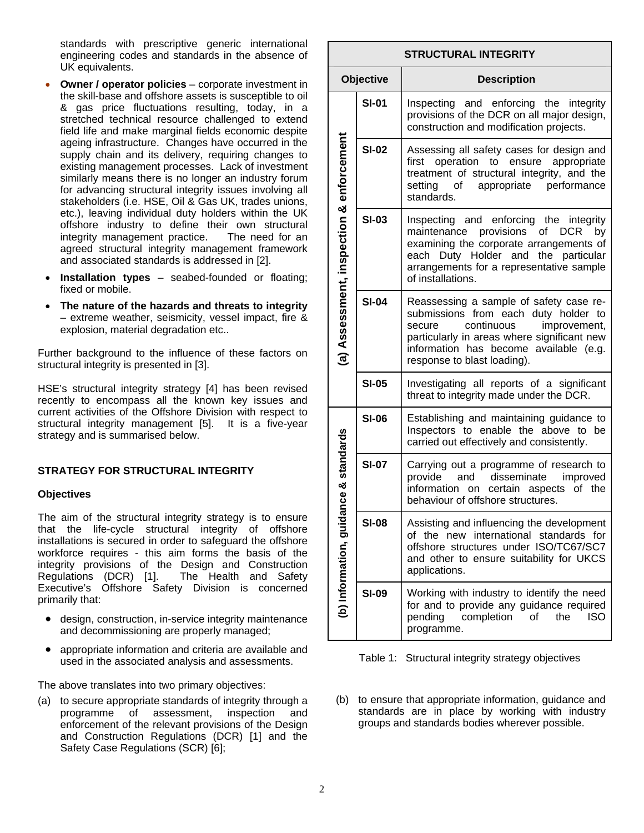standards with prescriptive generic international engineering codes and standards in the absence of UK equivalents.

- **Owner / operator policies** corporate investment in the skill-base and offshore assets is susceptible to oil & gas price fluctuations resulting, today, in a stretched technical resource challenged to extend field life and make marginal fields economic despite ageing infrastructure. Changes have occurred in the supply chain and its delivery, requiring changes to existing management processes. Lack of investment similarly means there is no longer an industry forum for advancing structural integrity issues involving all stakeholders (i.e. HSE, Oil & Gas UK, trades unions, etc.), leaving individual duty holders within the UK offshore industry to define their own structural integrity management practice. The need for an agreed structural integrity management framework and associated standards is addressed in [2].
- **Installation types** seabed-founded or floating; fixed or mobile.
- **The nature of the hazards and threats to integrity** – extreme weather, seismicity, vessel impact, fire & explosion, material degradation etc..

Further background to the influence of these factors on structural integrity is presented in [3].

HSE's structural integrity strategy [4] has been revised recently to encompass all the known key issues and current activities of the Offshore Division with respect to structural integrity management [5]. It is a five-year strategy and is summarised below.

### **STRATEGY FOR STRUCTURAL INTEGRITY**

### **Objectives**

The aim of the structural integrity strategy is to ensure that the life-cycle structural integrity of offshore installations is secured in order to safeguard the offshore workforce requires - this aim forms the basis of the integrity provisions of the Design and Construction Regulations (DCR) [1]. The Health and Safety Executive's Offshore Safety Division is concerned primarily that:

- design, construction, in-service integrity maintenance and decommissioning are properly managed;
- appropriate information and criteria are available and used in the associated analysis and assessments.

The above translates into two primary objectives:

(a) to secure appropriate standards of integrity through a programme of assessment, inspection and enforcement of the relevant provisions of the Design and Construction Regulations (DCR) [1] and the Safety Case Regulations (SCR) [6];

| <b>STRUCTURAL INTEGRITY</b>               |              |                                                                                                                                                                                                                                                 |  |  |  |  |  |
|-------------------------------------------|--------------|-------------------------------------------------------------------------------------------------------------------------------------------------------------------------------------------------------------------------------------------------|--|--|--|--|--|
| Objective                                 |              | <b>Description</b>                                                                                                                                                                                                                              |  |  |  |  |  |
| (a) Assessment, inspection & enforcement  | <b>SI-01</b> | Inspecting and enforcing the integrity<br>provisions of the DCR on all major design,<br>construction and modification projects.                                                                                                                 |  |  |  |  |  |
|                                           | <b>SI-02</b> | Assessing all safety cases for design and<br>operation to ensure appropriate<br>first<br>treatment of structural integrity, and the<br>appropriate performance<br>setting of<br>standards.                                                      |  |  |  |  |  |
|                                           | <b>SI-03</b> | Inspecting and enforcing the integrity<br>maintenance provisions of<br>DCR<br>by<br>examining the corporate arrangements of<br>each Duty Holder and the particular<br>arrangements for a representative sample<br>of installations.             |  |  |  |  |  |
|                                           | <b>SI-04</b> | Reassessing a sample of safety case re-<br>submissions from each duty holder to<br>continuous<br>improvement,<br>secure<br>particularly in areas where significant new<br>information has become available (e.g.<br>response to blast loading). |  |  |  |  |  |
|                                           | <b>SI-05</b> | Investigating all reports of a significant<br>threat to integrity made under the DCR.                                                                                                                                                           |  |  |  |  |  |
| dance & standards<br>(b) Information, gui | <b>SI-06</b> | Establishing and maintaining guidance to<br>Inspectors to enable the above to<br>be<br>carried out effectively and consistently.                                                                                                                |  |  |  |  |  |
|                                           | <b>SI-07</b> | Carrying out a programme of research to<br>and disseminate<br>improved<br>provide<br>information on certain aspects<br>of the<br>behaviour of offshore structures.                                                                              |  |  |  |  |  |
|                                           | SI-08        | Assisting and influencing the development<br>new international<br>of the<br>standards<br>for<br>offshore structures under ISO/TC67/SC7<br>and other to ensure suitability for UKCS<br>applications.                                             |  |  |  |  |  |
|                                           | <b>SI-09</b> | Working with industry to identify the need<br>for and to provide any guidance required<br>pending<br>completion<br>the<br>οf<br>iso<br>programme.                                                                                               |  |  |  |  |  |

Table 1: Structural integrity strategy objectives

(b) to ensure that appropriate information, guidance and standards are in place by working with industry groups and standards bodies wherever possible.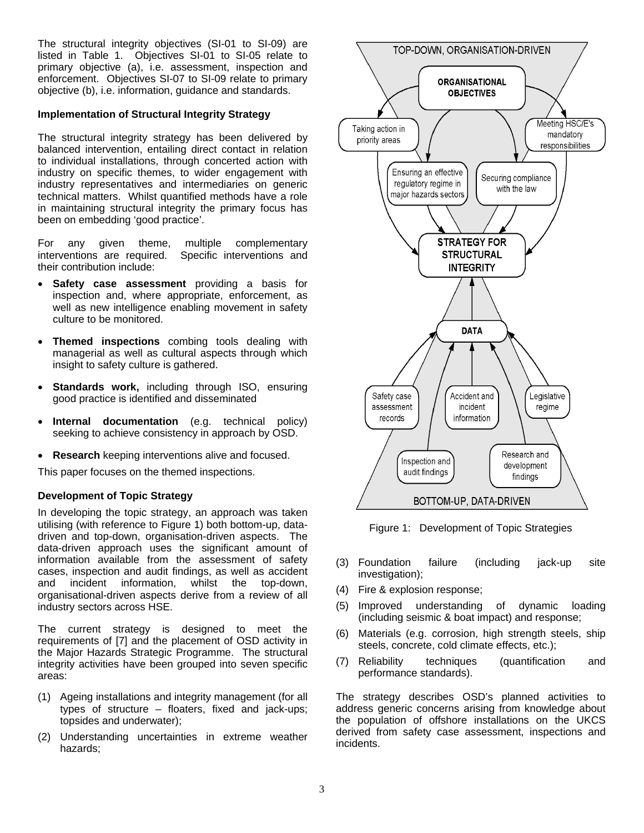The structural integrity objectives (SI-01 to SI-09) are listed in Table 1. Objectives SI-01 to SI-05 relate to primary objective (a), i.e. assessment, inspection and enforcement. Objectives SI-07 to SI-09 relate to primary objective (b), i.e. information, guidance and standards.

### **Implementation of Structural Integrity Strategy**

The structural integrity strategy has been delivered by balanced intervention, entailing direct contact in relation to individual installations, through concerted action with industry on specific themes, to wider engagement with industry representatives and intermediaries on generic technical matters. Whilst quantified methods have a role in maintaining structural integrity the primary focus has been on embedding 'good practice'.

For any given theme, multiple complementary interventions are required. Specific interventions and their contribution include:

- **Safety case assessment** providing a basis for inspection and, where appropriate, enforcement, as well as new intelligence enabling movement in safety culture to be monitored.
- **Themed inspections** combing tools dealing with managerial as well as cultural aspects through which insight to safety culture is gathered.
- **Standards work, including through ISO, ensuring** good practice is identified and disseminated
- **Internal documentation** (e.g. technical policy) seeking to achieve consistency in approach by OSD.
- **Research** keeping interventions alive and focused.

This paper focuses on the themed inspections.

### **Development of Topic Strategy**

In developing the topic strategy, an approach was taken utilising (with reference to Figure 1) both bottom-up, datadriven and top-down, organisation-driven aspects. The data-driven approach uses the significant amount of information available from the assessment of safety cases, inspection and audit findings, as well as accident and incident information, whilst the top-down, organisational-driven aspects derive from a review of all industry sectors across HSE.

The current strategy is designed to meet the requirements of [7] and the placement of OSD activity in the Major Hazards Strategic Programme. The structural integrity activities have been grouped into seven specific areas:

- (1) Ageing installations and integrity management (for all types of structure – floaters, fixed and jack-ups; topsides and underwater);
- (2) Understanding uncertainties in extreme weather hazards;



Figure 1: Development of Topic Strategies

- (3) Foundation failure (including jack-up site investigation);
- (4) Fire & explosion response;
- (5) Improved understanding of dynamic loading (including seismic & boat impact) and response;
- (6) Materials (e.g. corrosion, high strength steels, ship steels, concrete, cold climate effects, etc.);
- (7) Reliability techniques (quantification and performance standards).

The strategy describes OSD's planned activities to address generic concerns arising from knowledge about the population of offshore installations on the UKCS derived from safety case assessment, inspections and incidents.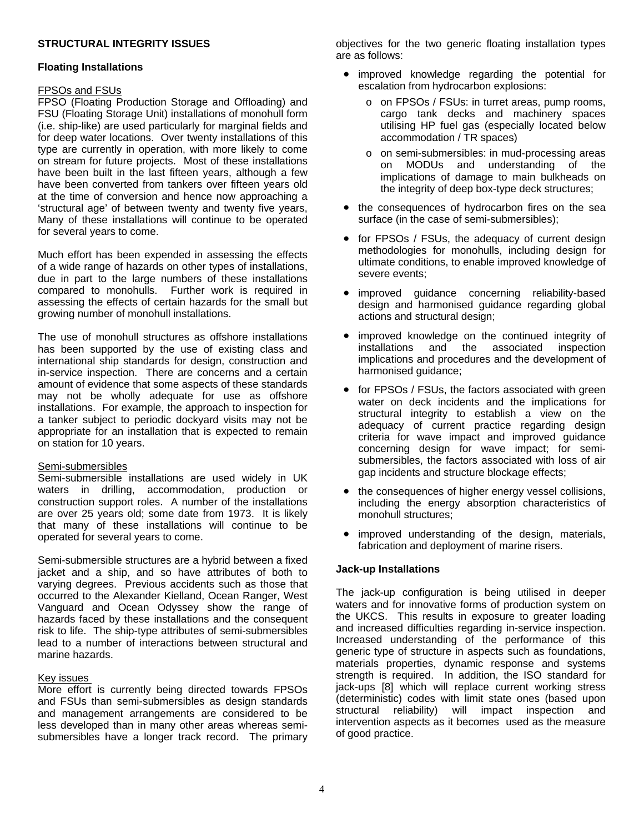### **STRUCTURAL INTEGRITY ISSUES**

#### **Floating Installations**

#### FPSOs and FSUs

FPSO (Floating Production Storage and Offloading) and FSU (Floating Storage Unit) installations of monohull form (i.e. ship-like) are used particularly for marginal fields and for deep water locations. Over twenty installations of this type are currently in operation, with more likely to come on stream for future projects. Most of these installations have been built in the last fifteen years, although a few have been converted from tankers over fifteen years old at the time of conversion and hence now approaching a 'structural age' of between twenty and twenty five years, Many of these installations will continue to be operated for several years to come.

Much effort has been expended in assessing the effects of a wide range of hazards on other types of installations, due in part to the large numbers of these installations compared to monohulls. Further work is required in assessing the effects of certain hazards for the small but growing number of monohull installations.

The use of monohull structures as offshore installations has been supported by the use of existing class and international ship standards for design, construction and in-service inspection. There are concerns and a certain amount of evidence that some aspects of these standards may not be wholly adequate for use as offshore installations. For example, the approach to inspection for a tanker subject to periodic dockyard visits may not be appropriate for an installation that is expected to remain on station for 10 years.

### Semi-submersibles

Semi-submersible installations are used widely in UK waters in drilling, accommodation, production or construction support roles. A number of the installations are over 25 years old; some date from 1973. It is likely that many of these installations will continue to be operated for several years to come.

Semi-submersible structures are a hybrid between a fixed jacket and a ship, and so have attributes of both to varying degrees. Previous accidents such as those that occurred to the Alexander Kielland, Ocean Ranger, West Vanguard and Ocean Odyssey show the range of hazards faced by these installations and the consequent risk to life. The ship-type attributes of semi-submersibles lead to a number of interactions between structural and marine hazards.

### Key issues

More effort is currently being directed towards FPSOs and FSUs than semi-submersibles as design standards and management arrangements are considered to be less developed than in many other areas whereas semisubmersibles have a longer track record. The primary objectives for the two generic floating installation types are as follows:

- improved knowledge regarding the potential for escalation from hydrocarbon explosions:
	- o on FPSOs / FSUs: in turret areas, pump rooms, cargo tank decks and machinery spaces utilising HP fuel gas (especially located below accommodation / TR spaces)
	- o on semi-submersibles: in mud-processing areas on MODUs and understanding of the implications of damage to main bulkheads on the integrity of deep box-type deck structures;
- the consequences of hydrocarbon fires on the sea surface (in the case of semi-submersibles);
- for FPSOs / FSUs, the adequacy of current design methodologies for monohulls, including design for ultimate conditions, to enable improved knowledge of severe events;
- improved guidance concerning reliability-based design and harmonised guidance regarding global actions and structural design;
- improved knowledge on the continued integrity of installations and the associated inspection implications and proced ures and the development of • harmonised guidance;
- for FPSOs / FSUs, the factors associated with green submersibles, the factors associated with loss of air water on deck incidents and the implications for structural integrity to establish a view on the adequacy of current practice regarding design criteria for wave impact and improved guidance concerning design for wave impact; for semigap incidents and structure blockage effects;
- •including the energy absorption characteristics of the consequences of higher energy vessel collisions, monohull structures;
- improved understanding of the design, materials, fabrication and deployment of marine risers.

### **Jack-up Installations**

intervention aspects as it becomes used as the measure of good practice. The jack-up configuration is being utilised in deeper waters and for innovative forms of production system on the UKCS. This results in exposure to greater loading and increased difficulties regarding in-service inspection. Increased understanding of the performance of this generic type of structure in aspects such as foundations, materials properties, dynamic response and systems strength is required. In addition, the ISO standard for jack-ups [8] which will replace current working stress (deterministic) codes with limit state ones (based upon structural reliability) will impact inspection and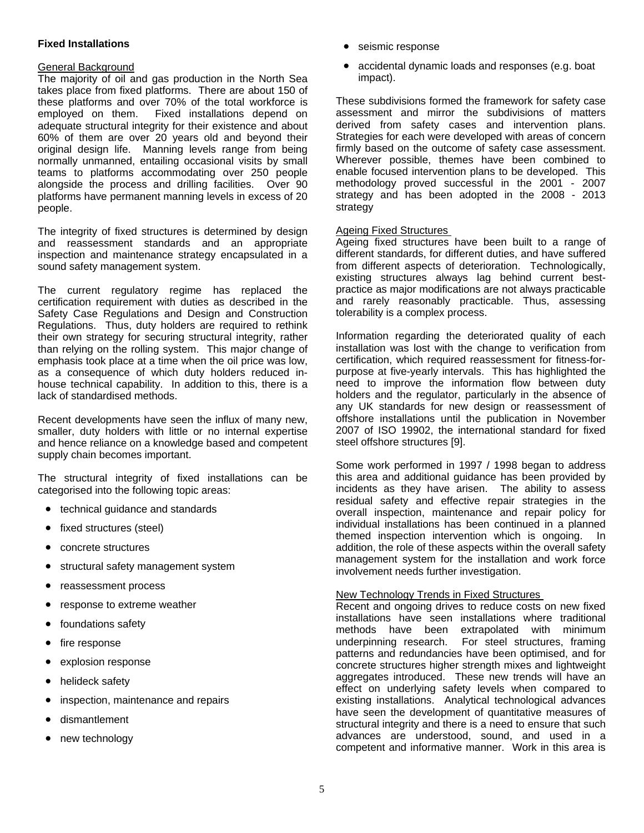### **Fixed Installations**

### General Background

The majority of oil and gas production in the North Sea takes place from fixed platforms. There are about 150 of these platforms and over 70% of the total workforce is employed on them. Fixed installations depend on adequate structural integrity for their existence and about 60% of them are over 20 years old and beyond their original design life. Manning levels range from being normally unmanned, entailing occasional visits by small teams to platforms accommodating over 250 people alongside the process and drilling facilities. Over 90 platforms have permanent manning levels in excess of 20 people.

The integrity of fixed structures is determined by design and reassessment standards and an appropriate inspection and maintenance strategy encapsulated in a sound safety management system.

The current regulatory regime has replaced the certification requirement with duties as described in the Safety Case Regulations and Design and Construction Regulations. Thus, duty holders are required to rethink their own strategy for securing structural integrity, rather than relying on the rolling system. This major change of emphasis took place at a time when the oil price was low, as a consequence of which duty holders reduced inhouse technical capability. In addition to this, there is a lack of standardised methods.

Recent developments have seen the influx of many new, smaller, duty holders with little or no internal expertise and hence reliance on a knowledge based and competent supply chain becomes important.

The structural integrity of fixed installations can be categorised into the following topic areas:

- technical guidance and standards
- fixed structures (steel)
- concrete structures
- structural safety management system
- reassessment process
- response to extreme weather
- foundations safety
- fire response
- explosion response
- helideck safety
- inspection, maintenance and repairs
- dismantlement
- new technology
- seismic response
- accidental dynamic loads and responses (e.g. boat impact).

enable focused intervention plans to be developed. This methodology proved successful in the 2001 - 2007 strategy and has been adopted in the 2008 - 2013 These subdivisions formed the framework for safety case assessment and mirror the subdivisions of matters derived from safety cases and intervention plans. Strategies for each were developed with areas of concern firmly based on the outcome of safety case assessment. Wherever possible, themes have been combined to strategy

### Ageing Fixed Structures

Ageing fixed structures have been built to a range of different standards, for different duties, and have suffered from different aspects of deterioration. Technologically, existing structures always lag behind current bestpractice as major modifications are not always practicable and rarely reasonably practicable. Thus, assessing tolerability is a complex process.

any UK standards for new design or reassessment of offshore installations until the publication in November Information regarding the deteriorated quality of each installation was lost with the change to verification from certification, which required reassessment for fitness-forpurpose at five-yearly intervals. This has highlighted the need to improve the information flow between duty holders and the regulator, particularly in the absence of 2007 of ISO 19902, the international standard for fixed steel offshore structures [9].

themed inspection intervention which is ongoing. In addition, the role of these aspects within the overall safety management system for the installation and work force Some work performed in 1997 / 1998 began to address this area and additional guidance has been provided by incidents as they have arisen. The ability to assess residual safety and effective repair strategies in the overall inspection, maintenance and repair policy for individual installations has been continued in a planned involvement needs further investigation.

### New Technology Trends in Fixed Structures

Recent and ongoing drives to reduce costs on new fixed installations have seen installations where traditional methods have been extrapolated with minimum underpinning research. For steel structures, framing patterns and redundancies have been optimised, and for concrete structures higher strength mixes and lightweight aggregates introduced. These new trends will have an effect on underlying safety levels when compared to existing installations. Analytical technological advances have seen the development of quantitative measures of structural integrity and there is a need to ensure that such advances are understood, sound, and used in a competent and informative manner. Work in this area is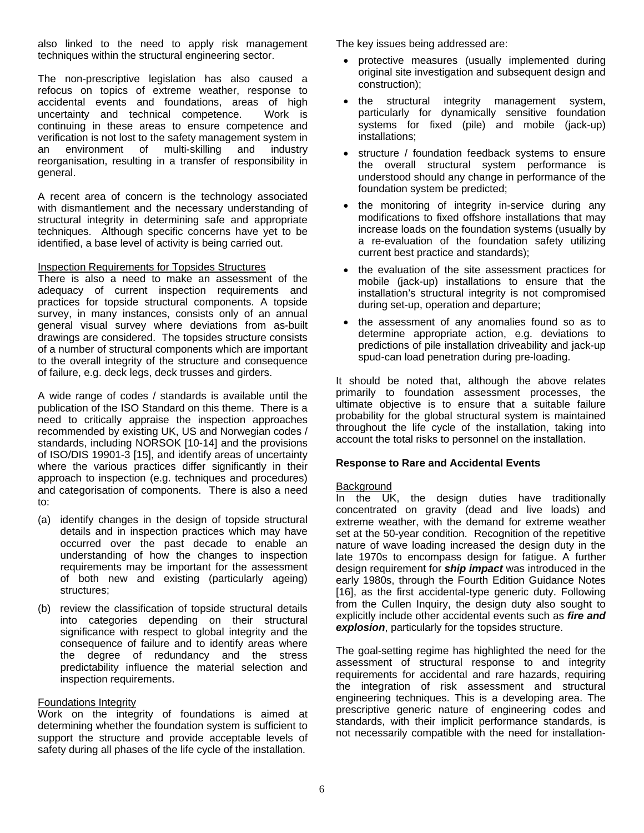also linked to the need to apply risk management techniques within the structural engineering sector.

The non-prescriptive legislation has also caused a refocus on topics of extreme weather, response to accidental events and foundations, areas of high uncertainty and technical competence. Work is continuing in these areas to ensure competence and verification is not lost to the safety management system in n environment of multi-skilling and industry a reorganisation, resulting in a transfer of responsibility in general.

with dismantlement and the necessary understanding of structural integrity in determining safe and appropriate techniques. Although specific concerns have yet to be A recent area of concern is the technology associated identified, a base level of activity is being carried out.

#### Inspection Requirements for Topsides Structures

There is also a need to make an assessment of the adequacy of current inspection requirements and practices for topside structural components. A topside survey, in many instances, consists only of an annual general visual survey where deviations from as-built drawings are considered. The topsides structure consists of a number of structural components which are important to the overall integrity of the structure and consequence of failure, e.g. deck legs, deck trusses and girders.

where the various practices differ significantly in their to: A wide range of codes / standards is available until the publication of the ISO Standard on this theme. There is a need to critically appraise the inspection approaches recommended by existing UK, US and Norwegian codes / standards, including NORSOK [10-14] and the provisions of ISO/DIS 19901-3 [15], and identify areas of uncertainty approach to inspection (e.g. techniques and procedures) and categorisation of components. There is also a need

- (a) identify changes in the design of topside structural understanding of how the changes to inspection details and in inspection practices which may have occurred over the past decade to enable an requirements may be important for the assessment of both new and existing (particularly ageing) structures;
- (b) review the classification of topside structural details consequence of failure and to identify areas where the degree of redundancy and the stress predictability influence the material selection and into categories depending on their structural significance with respect to global integrity and the inspection requirements.

### Foundations Integrity

Work on the integrity of foundations is aimed at determining whether the foundation system is sufficient to support the structure and provide acceptable levels of safety during all phases of the life cycle of the installation.

T he key issues being addressed are:

- protective measures (usually implemented during original site investigation and subsequent design and construction);
- the systems for fixed (pile) and mobile (jack-up) structural integrity management system, particularly for dynamically sensitive foundation installations;
- understood should any change in performance of the structure / foundation feedback systems to ensure the overall structural system performance is foundation system be predicted;
- a re-evaluation of the foundation safety utilizing the monitoring of integrity in-service during any modifications to fixed offshore installations that may increase loads on the foundation systems (usually by current best practice and standards);
- installation's structural integrity is not compromised the evaluation of the site assessment practices for mobile (jack-up) installations to ensure that the during set-up, operation and departure;
- predictions of pile installation driveability and jack-up spud-can load penetration during pre-loading. the assessment of any anomalies found so as to determine appropriate action, e.g. deviations to

throughout the life cycle of the installation, taking into account the total risks to personnel on the installation. It should be noted that, although the above relates primarily to foundation assessment processes, the ultimate objective is to ensure that a suitable failure probability for the global structural system is maintained

### **esponse to Rare and Accidental Events R**

### **Background**

In the UK, the design duties have traditionally concentrated on gravity (dead and live loads) and extreme weather, with the demand for extreme weather set at the 50-year condition. Recognition of the repetitive nature of wave loading increased the design duty in the late 1970s to encompass design for fatigue. A further design requirement for *ship impact* was introduced in the early 1980s, through the Fourth Edition Guidance Notes [16], as the first accidental-type generic duty. Following from the Cullen Inquiry, the design duty also sought to explicitly include other accidental events such as *fire and explosion*, particularly for the topsides structure.

The goal-setting regime has highlighted the need for the assessment of structural response to and integrity requirements for accidental and rare hazards, requiring the integration of risk assessment and structural engineering techniques. This is a developing area. The prescriptive generic nature of engineering codes and standards, with their implicit performance standards, is not necessarily compatible with the need for installation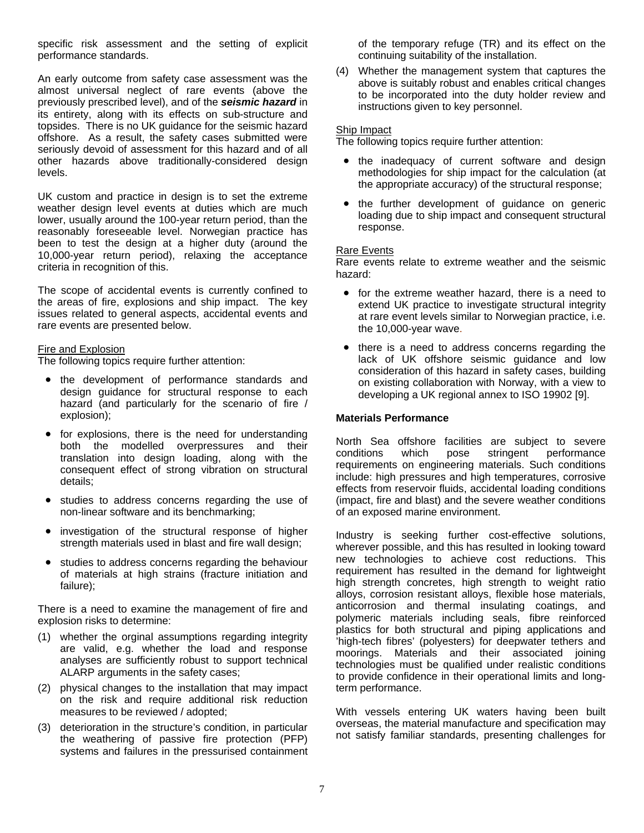specific risk assessment and the setting of explicit performance standards.

seriously devoid of assessment for this hazard and of all other hazards above traditionally-considered design An early outcome from safety case assessment was the almost universal neglect of rare events (above the previously prescribed level), and of the *seismic hazard* in its entirety, along with its effects on sub-structure and topsides. There is no UK guidance for the seismic hazard offshore. As a result, the safety cases submitted were levels.

been to test the design at a higher duty (around the 10,000-year return period), relaxing the acceptance UK custom and practice in design is to set the extreme weather design level events at duties which are much lower, usually around the 100-year return period, than the reasonably foreseeable level. Norwegian practice has criteria in recognition of this.

the areas of fire, explosions and ship impact. The key issues related to general aspects, accidental events and rare events are presented below. The scope of accidental events is currently confined to

#### **Fire and Explosion**

The following topics require further attention:

- the development of performance standards and design guid ance for structural response to each hazard (and particularly for the scenario of fire / explosion);
- for explosions, there is the need for understanding translation into design loading, along with the both the modelled overpressures and their consequent effect of strong vibration on structural details;
- studies to address concerns regarding the use of non-linear software and its benchmarking;
- investigation of the structural response of higher strength materials used in blast and fire wall design;
- studies to address concerns regarding the behaviour of materials at high strains (fracture initiation and failure);

expl osion risks to determine: There is a need to examine the management of fire and

- (1) whether the orginal assumptions regarding integrity are valid, e.g. whether the load and response analyses are sufficiently robust to support technical ALARP arguments in the safety cases;
- (2) physical changes to the installation that may impact on the risk and require additional risk reduction measures to be reviewed / adopted;
- (3) deterioration in the structure's condition, in particular the weathering of passive fire protection (PFP) systems and failures in the pressurised containment

of the temporary refuge (TR) and its effect on the continuing suitability of the installation.

(4) Whether the management system that captures the above is suitably robust and enables critical changes to be incorporated into the duty holder review and instructions given to key personnel.

### S hip Impact

The following topics require further attention:

- the inadequacy of current software and design methodologies for ship impact for the calculation (at the appropriate accuracy) of the structural response;
- the further development of guidance on generic loading due to ship impact and consequent structural response.

#### Rare Events

R are events relate to extreme weather and the seismic haza rd:

- for the extreme weather hazard, there is a need to extend UK practice to investigate structural integrity at rare event levels similar to Norwegian practice, i.e. the 10,000-year wave.
- there is a need to address concerns regarding the consideration of this hazard in safety cases, building on existing collaboration with Norway, with a view to developing a UK regional annex to ISO 19902 [9]. lack of UK offshore seismic guidance and low

### **Materials Performance**

effects from reservoir fluids, accidental loading conditions North Sea offshore facilities are subject to severe conditions which pose stringent performance conditions which pose stringent performance requirements on engineering materials. Such conditions include: high pressures and high temperatures, corrosive (impact, fire and blast) and the severe weather conditions of an exposed marine environment.

technologies must be qualified under realistic conditions Industry is seeking further cost-effective solutions, wherever possible, and this has resulted in looking toward new technologies to achieve cost reductions. This requirement has resulted in the demand for lightweight high strength concretes, high strength to weight ratio alloys, corrosion resistant alloys, flexible hose materials, anticorrosion and thermal insulating coatings, and polymeric materials including seals, fibre reinforced plastics for both structural and piping applications and 'high-tech fibres' (polyesters) for deepwater tethers and moorings. Materials and their associated joining to provide confidence in their operational limits and longterm performance.

not satisfy familiar standards, presenting challenges for With vessels entering UK waters having been built overseas, the material manufacture and specification may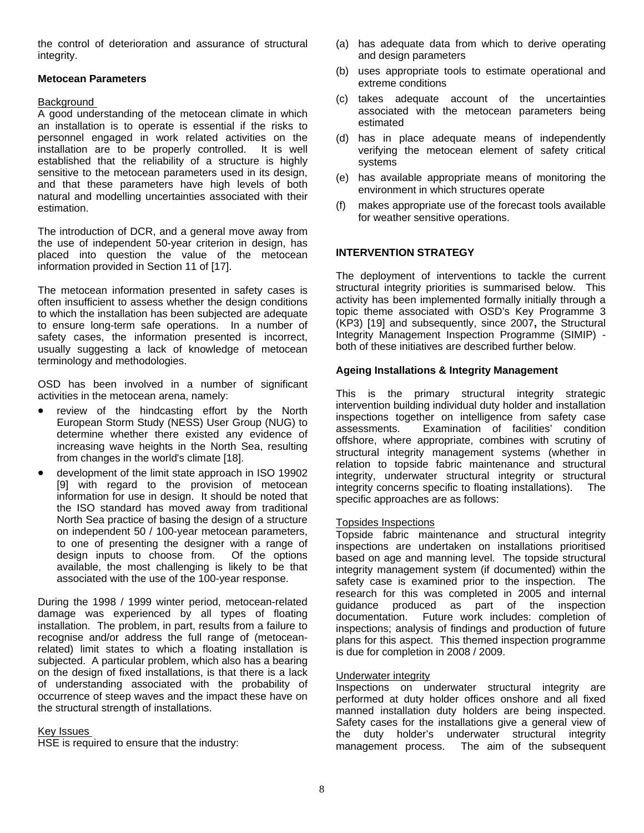the control of deterioration and assurance of structural integrity.

### **Metocean Parameters**

### Background

A good understanding of the metocean climate in which an installation is to operate is essential if the risks to personnel engaged in work related activities on the installation are to be properly controlled. It is well established that the reliability of a structure is highly sensitive to the metocean parameters used in its design, and that these parameters have high levels of both natural and modelling uncertainties associated with their estimation.

the use of independent 50-year criterion in design, has placed into question the value of the metocean The introduction of DCR, and a general move away from information provided in Section 11 of [17].

safety cases, the information presented is incorrect, usually suggesting a lack of knowledge of metocean The metocean information presented in safety cases is often insufficient to assess whether the design conditions to which the installation has been subjected are adequate to ensure long-term safe operations. In a number of terminology and methodologies.

acti vities in the metocean arena, namely: OSD has been involved in a number of significant

- determine whether there existed any evidence of review of the hindcasting effort by the North European Storm Study (NESS) User Group (NUG) to increasing wave heights in the North Sea, resulting from changes in the world's climate [18].
- design inputs to choose from. Of the options development of the limit state approach in ISO 19902 [9] with regard to the provision of metocean information for use in design. It should be noted that the ISO standard has moved away from traditional North Sea practice of basing the design of a structure on independent 50 / 100-year metocean parameters, to one of presenting the designer with a range of available, the most challenging is likely to be that associated with the use of the 100-year response.

of understanding associated with the probability of occurrence of steep waves and the impact these have on During the 1998 / 1999 winter period, metocean-related damage was experienced by all types of floating installation. The problem, in part, results from a failure to recognise and/or address the full range of (metoceanrelated) limit states to which a floating installation is subjected. A particular problem, which also has a bearing on the design of fixed installations, is that there is a lack the structural strength of installations.

### Key Issues

HSE is required to ensure that the industry:

- (a) has adequate data from which to derive operating and design parameters
- (b) uses appropriate tools to estimate operational and extreme conditions
- (c) takes adequate account of the uncertainties associated with the metocean parameters being estimated
- (d) has in place adequate means of independently verifying the metocean element of safety critical systems
- (e) has available appropriate means of monitoring the environment in which structures operate
- ) makes appropriate use of the forecast tools available for weather sensitive operations.  $(f)$

### **INTERVENTION STRATEGY**

(KP3) [19] and subsequently, since 2007, the Structural Integrity Management Inspection Programme (SIMIP) -The deployment of interventions to tackle the current structural integrity priorities is summarised below. This activity has been implemented formally initially through a topic theme associated with OSD's Key Programme 3 both of these initiatives are described further below.

### **Ageing Installations & Integrity Management**

integrity, underwater structural integrity or structural integrity concerns specific to floating installations). The specific approaches are as follows: This is the primary structural integrity strategic intervention building individual duty holder and installation inspections together on intelligence from safety case assessments. Examination of facilities' condition offshore, where appropriate, combines with scrutiny of structural integrity management systems (whether in relation to topside fabric maintenance and structural

### Topsides Inspections

Topside fabric maintenance and structural integrity inspections are undertaken on installations prioritised based on age and manning level. The topside structural integrity management system (if documented) within the safety case is examined prior to the inspection. The research for this was completed in 2005 and internal guidance produced as part of the inspection documentation. Future work includes: completion of inspections; analysis of findings and production of future plans for this aspect. This themed inspection programme is due for completion in 2008 / 2009.

### Underwater integrity

Inspections on underwater structural integrity are performed at duty holder offices onshore and all fixed manned installation duty holders are being inspected. Safety cases for the installations give a general view of the duty holder's underwater structural integrity management process. The aim of the subsequent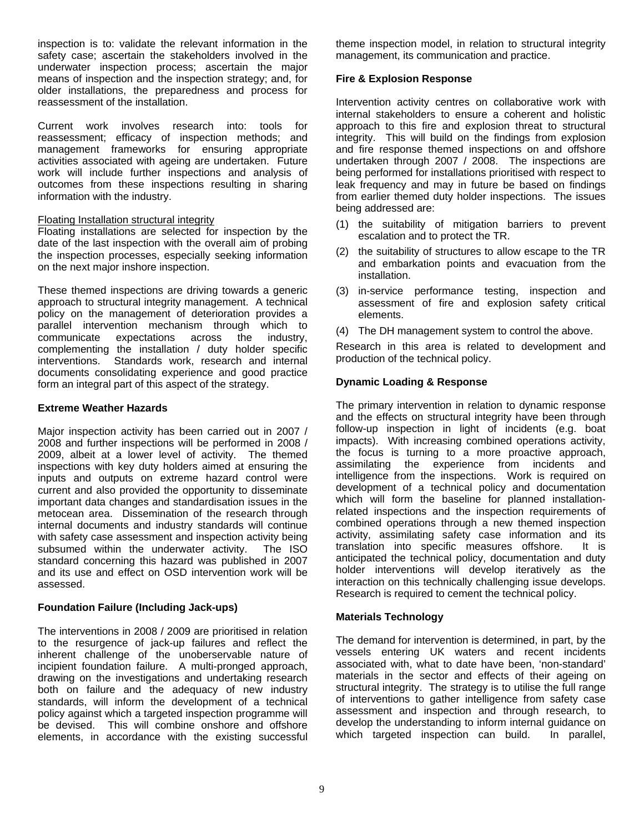inspection is to: validate the relevant information in the safety case; ascertain the stakeholders involved in the underwater inspection process; ascertain the major means of inspection and the inspection strategy; and, for older installations, the preparedness and process for reassessment of the installation.

work will include further inspections and analysis of outcomes from these inspections resulting in sharing Current work involves research into: tools for reassessment; efficacy of inspection methods; and management frameworks for ensuring appropriate activities associated with ageing are undertaken. Future information with the industry.

### Floating Installation structural integrity

Floating installations are selected for inspection by the date of the last inspection with the overall aim of probing the inspection processes, especially seeking information on the next major inshore inspection.

interventions. Standards work, research and internal documents consolidating experience and good practice form an integral part of this aspect of the strategy. These themed inspections are driving towards a generic approach to structural integrity management. A technical policy on the management of deterioration provides a parallel intervention mechanism through which to communicate expectations across the industry, complementing the installation / duty holder specific

### **Extreme Weather Hazards**

standard concerning this hazard was published in 2007 and its use and effect on OSD intervention work will be Major inspection activity has been carried out in 2007 / 2008 and further inspections will be performed in 2008 / 2009, albeit at a lower level of activity. The themed inspections with key duty holders aimed at ensuring the inputs and outputs on extreme hazard control were current and also provided the opportunity to disseminate important data changes and standardisation issues in the metocean area. Dissemination of the research through internal documents and industry standards will continue with safety case assessment and inspection activity being subsumed within the underwater activity. The ISO assessed.

### **Foundation Failure (Including Jack-ups)**

elements, in accordance with the existing successful The interventions in 2008 / 2009 are prioritised in relation to the resurgence of jack-up failures and reflect the inherent challenge of the unoberservable nature of incipient foundation failure. A multi-pronged approach, drawing on the investigations and undertaking research both on failure and the adequacy of new industry standards, will inform the development of a technical policy against which a targeted inspection programme will be devised. This will combine onshore and offshore

theme inspection model, in relation to structural integrity management, its communication and practice.

### **Fire & Explosion Response**

being performed for installations prioritised with respect to Intervention activity centres on collaborative work with internal stakeholders to ensure a coherent and holistic approach to this fire and explosion threat to structural integrity. This will build on the findings from explosion and fire response themed inspections on and offshore undertaken through 2007 / 2008. The inspections are leak frequency and may in future be based on findings from earlier themed duty holder inspections. The issues being addressed are:

- (1) the suitability of mitigation barriers to prevent escalation and to protect the TR.
- (2) the suitability of structures to allow escape to the TR and embarkation points and evacuation from the installation.
- (3) in-service performance testing, inspection and assessment of fire and explosion safety critical elements.
- (4) The DH management system to control the above.

Research in this area is related to development and roduction of the technical policy. p

### **Dynamic Loading & Response**

anticipated the technical policy, documentation and duty holder interventions will develop iteratively as the interaction on this technically challenging issue develops. Research is required to cement the technical policy. The primary intervention in relation to dynamic response and the effects on structural integrity have been through follow-up inspection in light of incidents (e.g. boat impacts). With increasing combined operations activity, the focus is turning to a more proactive approach, assimilating the experience from incidents and intelligence from the inspections. Work is required on development of a technical policy and documentation which will form the baseline for planned installationrelated inspections and the inspection requirements of combined operations through a new themed inspection activity, assimilating safety case information and its translation into specific measures offshore. It is

### **Materials Technology**

develop the understanding to inform internal guidance on which targeted inspection can build. In parallel, The demand for intervention is determined, in part, by the vessels entering UK waters and recent incidents associated with, what to date have been, 'non-standard' materials in the sector and effects of their ageing on structural integrity. The strategy is to utilise the full range of interventions to gather intelligence from safety case assessment and inspection and through research, to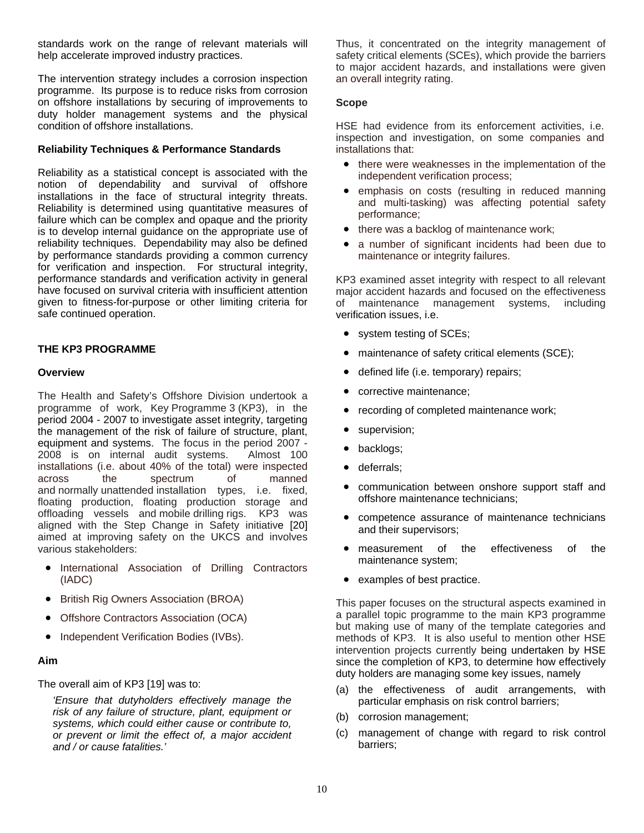standards work on the range of relevant materials will help accelerate improved industry practices.

The intervention strategy includes a corrosion inspection programme. Its purpose is to reduce risks from corrosion on offshore installations by securing of improvements to duty holder management systems and the physical condition of offshore installations.

### **Reliability Techniques & Performance Standards**

performance standards and verification activity in general have focused on survival criteria with insufficient attention given to fitness-for-purpose or other limiting criteria for Reliability as a statistical concept is associated with the notion of dependability and survival of offshore installations in the face of structural integrity threats. Reliability is determined using quantitative measures of failure which can be complex and opaque and the priority is to develop internal guidance on the appropriate use of reliability techniques. Dependability may also be defined by performance standards providing a common currency for verification and inspection. For structural integrity, safe continued operation.

### **THE KP3 PROGRAMME**

### **Overview**

offloading vessels and mobile drilling rigs. KP3 was a ligned with the Step Change in Safety initiative [20] a imed at improving safety on the UKCS and involves various stakeholders: The Health and Safety's Offshore Division undertook a programme of work, Key Programme 3 (KP3), in the period 2004 - 2007 to investigate asset integrity, targeting the management of the risk of failure of structure, plant, equipment and systems. The focus in the period 2007 - 2008 is on internal audit systems. Almost 100 installations (i.e. about 40% of the total) were inspected across the spectrum of manned and normally unattended installation types, i.e. fixed, floating production, floating production storage and

- International Association of Drilling Contractors (IADC)
- British Rig Owners Association (BROA)
- Offshore Contractors Association (OCA)
- Independent Verification Bodies (IVBs).

### **Aim**

Th e overall aim of KP3 [19] was to:

*and / or cause fatalities.' 'Ensure that dutyholders effectively manage the risk of any failure of structure, plant, equipment or systems, which could either cause or contribute to, or prevent or limit the effect of, a major accident* 

safety critical elements (SCEs), which provide the barriers to major accident hazards, and installations were given an overall integrity rating. Thus, it concentrated on the integrity management of

### **Scope**

HSE had evidence from its enforcement activities, i.e. insp ection and investigation, on some companies and insta llations that:

- there were weaknesses in the implementation of the independent verification process;
- emphasis on costs (resulting in reduced manning and multi-tasking) was affecting potential safety performance;
- there was a backlog of maintenance work;
- a number of significant incidents had been due to maintenance or integrity failures.

major accident hazards and focused on the effectiveness of maintenance management systems, including verification issues, i.e. KP3 examined asset integrity with respect to all relevant

- system testing of SCEs;
- maintenance of safety critical elements (SCE);
- defined life (i.e. temporary) repairs;
- corrective maintenance;
- recording of completed maintenance work;
- supervision;
- backlogs;
- deferrals;
- communication between onshore support staff and offshore maintenance technicians;
- competence assurance of maintenance technicians and their supervisors;
- measurement of the effectiveness of the maintenance system;
- examples of best practice.

a parallel topic programme to the main KP3 programme intervention projects currently being undertaken by HSE since the completion of KP3, to determine how effectively This paper focuses on the structural aspects examined in but making use of many of the template categories and methods of KP3. It is also useful to mention other HSE duty holders are managing some key issues, namely

- (a) the effectiveness of audit arrangements, with particular emphasis on risk control barriers;
- (b) corrosion management;
- (c) management of change with regard to risk control barriers;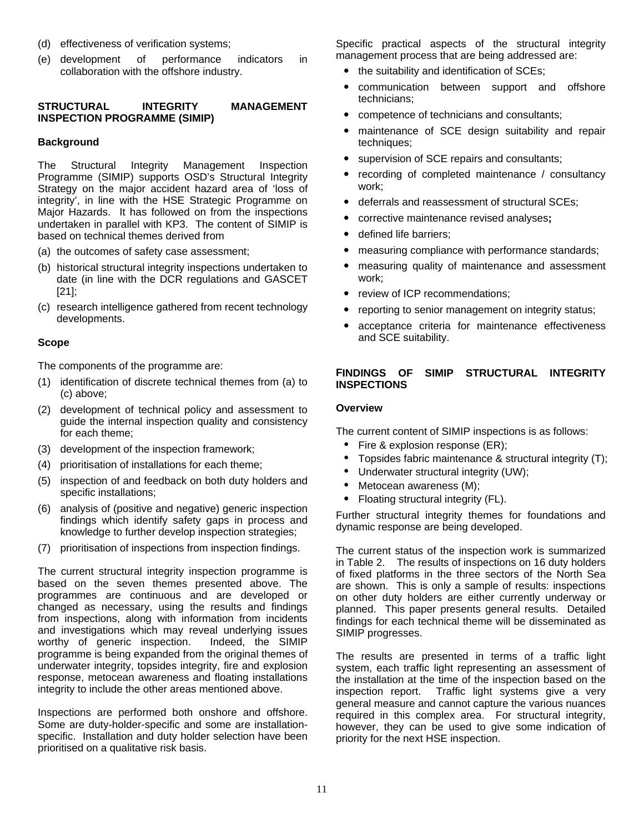- (d) effectiveness of verification systems;
- (e) development of performance indicators in collaboration with the offshore industry.

### **STRUCTURAL INTEGRITY MANAGEMENT INSPECTION PROGRAMME (SIMIP)**

### **Background**

Programme (SIMIP) supports OSD's Structural Integrity Strategy on the major accident hazard area of 'loss of und ertaken in parallel with KP3. The content of SIMIP is The Structural Integrity Management Inspection integrity', in line with the HSE Strategic Programme on Major Hazards. It has followed on from the inspections based on technical themes derived from

- (a) the outcomes of safety case assessment;
- (b) historical structural integrity inspections undertaken to date (in line with the DCR regulations and GASCET [21];
- (c) research intelligence gathered from recent technology d evelopments.

#### **Scope**

The components of the programme are:

- (1) identification of discrete technical themes from (a) to (c) above;
- (2) development of technical policy and assessment to guide the internal inspection quality and consistency for each theme;
- (3) development of the inspection framework;
- (4) prioritisation of installations for each theme;
- (5) inspection of and feedback on both duty holders and specific installations;
- (6) analysis of (positive and negative) generic inspection findings which identify safety gaps in process and knowledge to further develop inspection strategies;
- (7) prioritisation of inspections from inspection findings.

and investigations which may reveal underlying issues The current structural integrity inspection programme is based on the seven themes presented above. The programmes are continuous and are developed or changed as necessary, using the results and findings from inspections, along with information from incidents worthy of generic inspection. Indeed, the SIMIP programme is being expanded from the original themes of underwater integrity, topsides integrity, fire and explosion response, metocean awareness and floating installations integrity to include the other areas mentioned above.

Inspections are performed both onshore and offshore. Some are duty-holder-specific and some are installationspecific. Installation and duty holder selection have been prioritised on a qualitative risk basis.

S pecific practical aspects of the structural integrity m anagement process that are being addressed are:

- the suitability and identification of SCEs;
- communication between support and offshore technicians;
- competence of technicians and consultants;
- maintenance of SCE design suitability and repair techniques;
- supervision of SCE repairs and consultants;
- recording of completed maintenance / consultancy work;
- deferrals and reassessment of structural SCEs;
- y corrective maintenance revised analyses**;**
- defined life barriers;
- measuring compliance with performance standards;
- measuring quality of maintenance and assessment work;
- review of ICP recommendations:
- reporting to senior management on integrity status;
- acceptance criteria for maintenance effectiveness and SCE suitability.

#### **SIMIP STRUCTURAL INTEGRITY FINDINGS INSPECTIONS**

#### **O verview**

The current content of SIMIP inspections is as follows:

- Fire & explosion response (ER);
- Topsides fabric maintenance  $\&$  structural integrity (T);
- Underwater structural integrity (UW);
- Metocean awareness (M);
- Floating structural integrity (FL).

Further structural integrity themes for foundations and dynamic response are being developed.

are shown. This is only a sample of results: inspections on other duty holders are either currently underway or The current status of the inspection work is summarized in Table 2. The results of inspections on 16 duty holders of fixed platforms in the three sectors of the North Sea planned. This paper presents general results. Detailed findings for each technical theme will be disseminated as SIMIP progresses.

Traffic light systems give a very general measure and cannot capture the various nuances required in this complex area. For structural integrity, however, they can be used to give some indication of p r rio ity for the next HSE inspection. The results are presented in terms of a traffic light system, each traffic light representing an assessment of the installation at the time of the inspection based on the inspection report.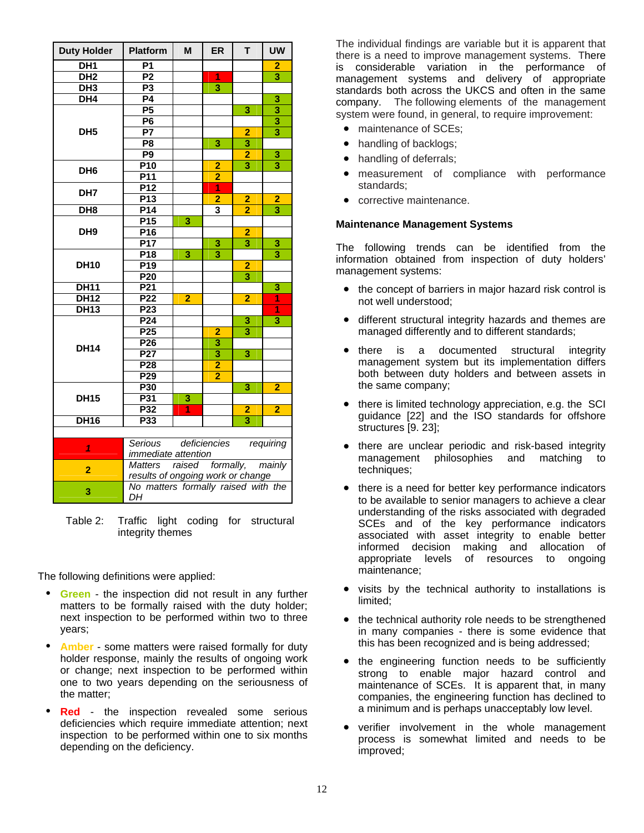| <b>Duty Holder</b>                       | <b>Platform</b>                           | M              | <b>ER</b>               | T.                      | <b>UW</b>               |  |  |  |
|------------------------------------------|-------------------------------------------|----------------|-------------------------|-------------------------|-------------------------|--|--|--|
| DH <sub>1</sub>                          | <b>P1</b>                                 |                |                         |                         | 2                       |  |  |  |
| DH2                                      | P <sub>2</sub>                            |                | 1                       |                         | $\overline{\mathbf{3}}$ |  |  |  |
| $\overline{DH3}$                         | P3                                        |                | $\overline{\mathbf{3}}$ |                         |                         |  |  |  |
| DH4                                      | <b>P4</b>                                 |                |                         |                         | 3                       |  |  |  |
|                                          | $\overline{P5}$                           |                |                         | $\overline{\mathbf{3}}$ | 3                       |  |  |  |
|                                          | $\overline{P6}$                           |                |                         |                         | $\overline{\mathbf{3}}$ |  |  |  |
| DH <sub>5</sub>                          | $\overline{P}$                            |                |                         | $\overline{2}$          | $\overline{\mathbf{3}}$ |  |  |  |
|                                          | P <sub>8</sub>                            |                | 3                       | $\overline{\mathbf{3}}$ |                         |  |  |  |
|                                          | P <sub>9</sub>                            |                |                         | $\overline{2}$          | 3                       |  |  |  |
| DH <sub>6</sub>                          | P10                                       |                | $\overline{2}$          | $\overline{\mathbf{3}}$ | $\overline{\mathbf{3}}$ |  |  |  |
|                                          | P <sub>11</sub>                           |                | $\overline{2}$          |                         |                         |  |  |  |
| DH <sub>7</sub>                          | P12                                       |                | $\overline{1}$          |                         |                         |  |  |  |
|                                          | P <sub>13</sub>                           |                | $\overline{2}$          | $\overline{2}$          | $\overline{2}$          |  |  |  |
| $\overline{DH8}$                         | P14                                       |                | 3                       | $\overline{\mathbf{2}}$ | 3                       |  |  |  |
|                                          | P <sub>15</sub>                           | 3              |                         |                         |                         |  |  |  |
| DH <sub>9</sub>                          | P16                                       |                |                         | $\overline{2}$          |                         |  |  |  |
|                                          | <b>P17</b>                                |                | 3                       | $\overline{\mathbf{3}}$ | 3                       |  |  |  |
|                                          | P <sub>18</sub>                           | 3              | 3                       |                         | 3                       |  |  |  |
| <b>DH10</b>                              | P <sub>19</sub>                           |                |                         | $\overline{2}$          |                         |  |  |  |
|                                          | P <sub>20</sub>                           |                |                         | $\overline{\mathbf{3}}$ |                         |  |  |  |
| <b>DH11</b>                              | P <sub>21</sub>                           |                |                         |                         | 3                       |  |  |  |
| <b>DH12</b>                              | P <sub>22</sub>                           | $\overline{2}$ |                         | $\overline{2}$          | $\overline{1}$          |  |  |  |
| <b>DH13</b>                              | P <sub>23</sub>                           |                |                         |                         | 1                       |  |  |  |
|                                          | P <sub>24</sub>                           |                |                         | 3                       | $\overline{\mathbf{3}}$ |  |  |  |
|                                          | P <sub>25</sub>                           |                | $\overline{2}$          | $\overline{\mathbf{3}}$ |                         |  |  |  |
|                                          | P26                                       |                | $\overline{\mathbf{3}}$ |                         |                         |  |  |  |
| <b>DH14</b>                              | P27                                       |                | $\overline{\mathbf{3}}$ | $\overline{\mathbf{3}}$ |                         |  |  |  |
|                                          | P <sub>28</sub>                           |                | $\overline{2}$          |                         |                         |  |  |  |
|                                          | P <sub>29</sub>                           |                | $\overline{2}$          |                         |                         |  |  |  |
|                                          | P30                                       |                |                         | 3                       | $\overline{2}$          |  |  |  |
| <b>DH15</b>                              | P31                                       | 3              |                         |                         |                         |  |  |  |
|                                          | P32                                       | $\overline{1}$ |                         | $\overline{2}$          | $\overline{2}$          |  |  |  |
| <b>DH16</b>                              | P33                                       |                |                         | $\overline{\mathbf{3}}$ |                         |  |  |  |
|                                          |                                           |                |                         |                         |                         |  |  |  |
| Serious<br>deficiencies                  |                                           |                |                         |                         | requiring               |  |  |  |
| 1                                        | <i>immediate attention</i>                |                |                         |                         |                         |  |  |  |
| $\overline{2}$                           | raised formally, mainly<br><b>Matters</b> |                |                         |                         |                         |  |  |  |
|                                          | results of ongoing work or change         |                |                         |                         |                         |  |  |  |
| No matters formally raised with the<br>3 |                                           |                |                         |                         |                         |  |  |  |
|                                          | DH                                        |                |                         |                         |                         |  |  |  |

Table 2: Traffic light coding for structural integrity themes

The following definitions were applied:

- **Green** the inspection did not result in any further matters to be formally raised with the duty holder; next inspection to be performed within two to three years;
- $\bullet$ **Amber** - some matters were raised formally for duty holder response, mainly the results of ongoing work or change; next inspection to be performed within one to two years depending on the seriousness of the matter;
- **Red** the inspection revealed some serious deficiencies which require immediate attention; next inspection to be performed within one to six months depending on the deficiency.

management systems and delivery of appropriate standards both across the UKCS and often in the same company. The following elements of the management s ystem were found, in general, to require improvement: The individual findings are variable but it is apparent that there is a need to improve management systems. There is considerable variation in the performance of

- maintenance of SCEs;
- handling of backlogs;
- handling of deferrals;
- measurement of compliance with performance standards;
- corrective maintenance.

### **M n ai tenance Management Systems**

The following trends can be identified from the in formation obtained from inspection of duty holders' man agement systems:

- the concept of barriers in major hazard risk control is not well understood;
- different structural integrity hazards and themes are managed differently and to different standards;
- there is a management system but its implementation differs documented structural integrity both between duty holders and between assets in the same company;
- there is limited technology appreciation, e.g. the SCI guidance [22] and the ISO standards for offshore structures [9. 23];
- there are unclear periodic and risk-based integrity management philosophies and matching to techniques;
- there is a need for better key performance indicators to be available to senior managers to achieve a clear associated with asset integrity to enable better understanding of the risks associated with degraded SCEs and of the key performance indicators informed decision making and allocation of appropriate levels of resources to ongoing maintenance;
- visits by the technical authority to installations is limited;
- the technical authority role needs to be strengthened in many companies - there is some evidence that this has been recognized and is being addressed;
- strong to enable major hazard control and the engineering function needs to be sufficiently maintenance of SCEs. It is apparent that, in many companies, the engineering function has declined to a minimum and is perhaps unacceptably low level.
- verifier involvement in the whole management process is somewhat limited and needs to be improved;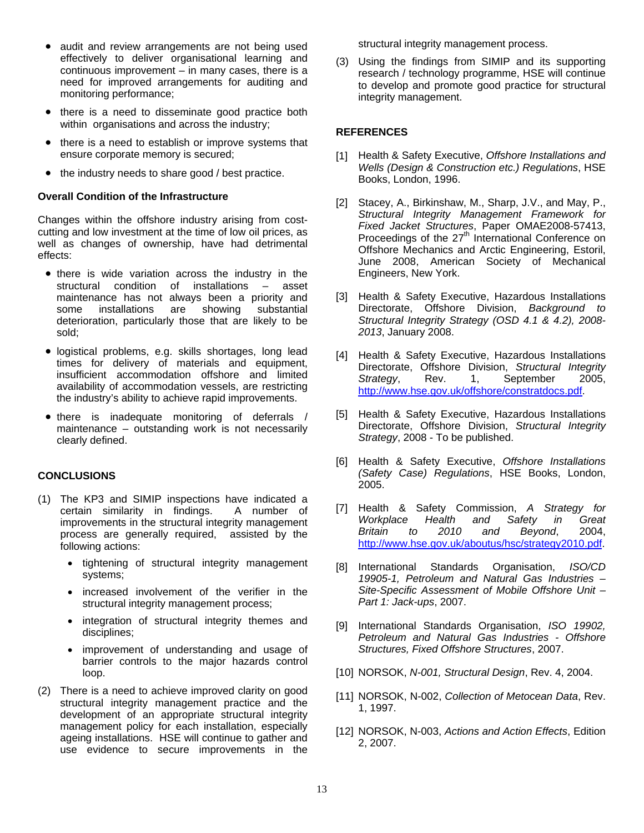- audit and review arrangements are not being used continuous improvement  $-$  in many cases, there is a need for improved arrangements for auditing and effectively to deliver organisational learning and monitoring performance;
- there is a need to disseminate good practice both within organisations and across the industry;
- there is a need to establish or improve systems that ensure corporate memory is secured;
- the industry needs to share good / best practice.

### **Ove rall Condition of the Infrastructure**

Cha nges within the offshore industry arising from costcutt ing and low investment at the time of low oil prices, as wel l as changes of ownership, have had detrimental ef fects:

- there is wide variation across the industry in the substantial structural condition of installations – asset maintenance has not always been a priority and<br>some installations are showing substantial some installations are deterioration, particularly those that are likely to be sold;
- · logistical problems, e.g. skills shortages, long lead times for delivery of materials and equipment, insufficient accommodation offshore and limited availability of accommodation vessels, are restricting the industry's ability to achieve rapid improvements.
- there is inadequate monitoring of deferrals / maintenance – outstanding work is not necessarily clearly defined.

### **CONC LUSIONS**

- (1) T he KP3 and SIMIP inspections have indicated a certain similarity in findings. A number of im provements in the structural integrity management p rocess are generally required, assisted by the follo wing actions:
	- tightening of structural integrity management systems;
	- increased involvement of the verifier in the structural integrity management process;
	- integration of structural integrity themes and disciplines;
	- improvement of understanding and usage of barrier controls to the major hazards control loop.
- management policy for each installation, especially ageing installations. HSE will continue to gather and use evidence to secure improvements in the (2) There is a need to achieve improved clarity on good structural integrity management practice and the development of an appropriate structural integrity

structural integrity management process.

(3) Using the findings from SIMIP and its supporting research / technology programme, HSE will continue to develop and promote good practice for structural integrity management.

### **REF ERENCES**

- [1] Health & Safety Executive, *Offshore Installations and Wells (Design & Construction etc.) Regulations*, HSE Books, London, 1996.
- Offshore Mechanics and Arctic Engineering, Estoril, [2] Stacey, A., Birkinshaw, M., Sharp, J.V., and May, P., *Structural Integrity Management Framework for Fixed Jacket Structures*, Paper OMAE2008-57413, Proceedings of the  $27<sup>th</sup>$  International Conference on June 2008, American Society of Mechanical Engineers, New York.
- [3] Health & Safety Executive, Hazardous Installations Directorate, Offshore Division, *Background to Structural Integrity Strategy (OSD 4.1 & 4.2), 2008- 2013*, January 2008.
- [4] Health & Safety Executive, Hazardous Installations Directorate, Offshore Division, *Structural Integrity Strategy*, Rev. 1, September 2005, http://www.hse.gov.uk/offshore/constratdocs.pdf.
- [5] Health & Safety Executive, Hazardous Installations Directorate, Offshore Division, *Structural Integrity Strategy*, 2008 - To be published.
- ] Health & Safety Executive, *Offshore Installations*  [6 *(Safety Case) Regulations*, HSE Books, London, 2005.
- [7] *and Safety in Great*  Health & Safety Commission, *A Strategy for Workplace Health Britain to 2010 and Beyond*, 2004, http://www.hse.gov.uk/aboutus/hsc/strategy2010.pdf.
- [8] International Standards Organisation, ISO/CD *– 19905-1, Petroleum and Natural Gas Industries – Site-Specific Assessment of Mobile Offshore Unit Part 1: Jack-ups*, 2007.
- [9] International Standards Organisation, *ISO 19902, Petroleum and Natural Gas Industries - Offshore Structures, Fixed Offshore Structures*, 2007.
- [10] NORSOK, *N-001, Structural Design*, Rev. 4, 2004.
- [11] NORSOK, N-002, *Collection of Metocean Data*, Rev. 1, 1997.
- [12] NORSOK, N-003, *Actions and Action Effects*, Edition 2, 2007.